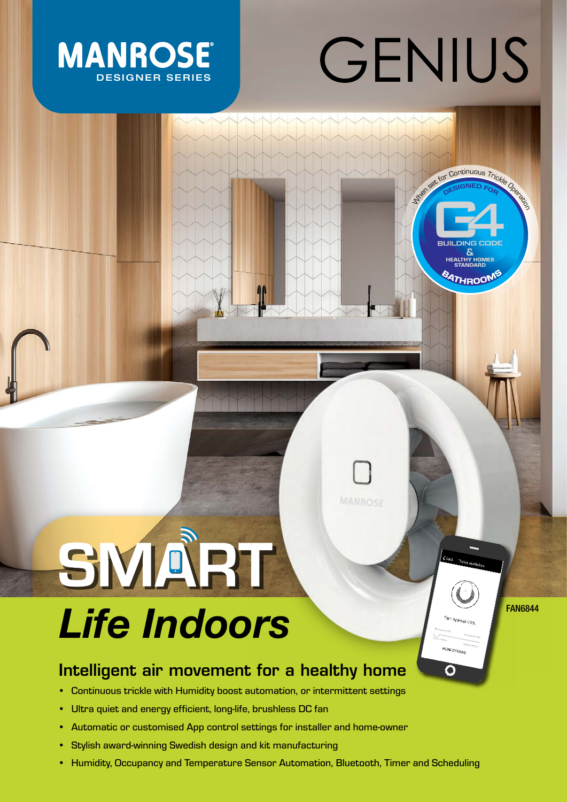# GENIUS

**When Continuous Trickle Operation** 



## SMART Life Indoors

 $\Omega$ 

### Intelligent air movement for a healthy home

- Continuous trickle with Humidity boost automation, or intermittent settings
- Ultra quiet and energy efficient, long-life, brushless DC fan
- Automatic or customised App control settings for installer and home-owner
- Stylish award-winning Swedish design and kit manufacturing
- Humidity, Occupancy and Temperature Sensor Automation, Bluetooth, Timer and Scheduling

**MANROSF**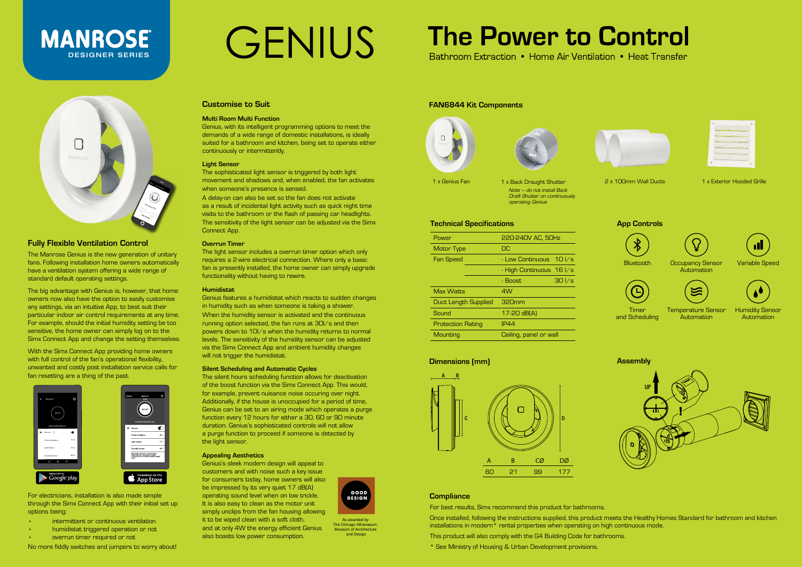#### **Fully Flexible Ventilation Control**

The Manrose Genius is the new generation of unitary fans. Following installation home owners automatically have a ventilation system offering a wide range of standard default operating settings.

The big advantage with Genius is, however, that home owners now also have the option to easily customise any settings, via an intuitive App, to best suit their particular indoor air control requirements at any time. For example, should the initial humidity setting be too sensitive, the home owner can simply log on to the Simx Connect App and change the setting themselves.

With the Simx Connect App providing home owners with full control of the fan's operational flexibility, unwanted and costly post installation service calls for fan resetting are a thing of the past.

#### **Customise to Suit**

#### **Multi Room Multi Function**

Genius, with its intelligent programming options to meet the demands of a wide range of domestic installations, is ideally suited for a bathroom and kitchen, being set to operate either continuously or intermittently.

#### **Light Sensor**

The sophisticated light sensor is triggered by both light movement and shadows and, when enabled, the fan activates when someone's presence is sensed.

A delay-on can also be set so the fan does not activate as a result of incidental light activity such as quick night time visits to the bathroom or the flash of passing car headlights. The sensitivity of the light sensor can be adjusted via the Simx Connect App.

#### **Overrun Timer**

The light sensor includes a overrun timer option which only requires a 2-wire electrical connection. Where only a basic fan is presently installed, the home owner can simply upgrade functionality without having to rewire.

#### **Humidistat**

### **MANROSE** DESIGNER SERIES



Genius features a humidistat which reacts to sudden changes in humidity such as when someone is taking a shower.

When the humidity sensor is activated and the continuous running option selected, the fan runs at 30l/s and then powers down to 10l/s when the humidity returns to normal levels. The sensitivity of the humidity sensor can be adjusted via the Simx Connect App and ambient humidity changes will not trigger the humidistat.

1 x Genius Fan 1 x Back Draught Shutter 2 x 100mm Wall Ducts 1 x Exterior Hooded Grille Note – do not install Back Draft Shutter on continuously operating Genius

> Temperature Sensor **Automation**

#### **Silent Scheduling and Automatic Cycles**

The silent hours scheduling function allows for deactivation of the boost function via the Simx Connect App. This would, for example, prevent nuisance noise occuring over night. Additionally, if the house is unoccupied for a period of time, Genius can be set to an airing mode which operates a purge function every 12 hours for either a 30, 60 or 90 minute duration. Genius's sophisticated controls will not allow a purge function to proceed if someone is detected by the light sensor.

#### **Appealing Aesthetics**

Genius's sleek modern design will appeal to customers and with noise such a key issue for consumers today, home owners will also be impressed by its very quiet 17 dB(A) operating sound level when on low trickle. It is also easy to clean as the motor unit simply unclips from the fan housing allowing it to be wiped clean with a soft cloth, and at only 4W the energy efficient Genius also boasts low power consumption.



As awarded by The Chicago Athenaeum: Museum of Architecture and Design

### **The Power to Control**

Bathroom Extraction • Home Air Ventilation • Heat Transfer



For electricians, installation is also made simple through the Simx Connect App with their initial set up options being:

- intermittent or continuous ventilation
- humidistat triggered operation or not
- overrun timer required or not

No more fiddly switches and jumpers to worry about!

## GENIUS



#### **Dimensions (mm) Assembly**



#### **FAN6844 Kit Components**





#### **Technical Specifications**

| Power                    | 220-240V AC, 50Hz        |                 |
|--------------------------|--------------------------|-----------------|
| Motor Type               | DC                       |                 |
| <b>Fan Speed</b>         | - Low Continuous 10 I/s  |                 |
|                          | - High Continuous 16 I/s |                 |
|                          | - Boost                  | $30\frac{1}{s}$ |
| <b>Max Watts</b>         | 4W                       |                 |
| Duct Length Supplied     | 320mm                    |                 |
| Sound                    | 17-20 dB(A)              |                 |
| <b>Protection Rating</b> | <b>IP44</b>              |                 |
| Mounting                 | Ceiling, panel or wall   |                 |

**App Controls**



Bluetooth Occupancy Sensor Automation







Timer and Scheduling



Humidity Sensor Automation

#### **Compliance**

For best results, Simx recommend this product for bathrooms.

Once installed, following the instructions supplied, this product meets the Healthy Homes Standard for bathroom and kitchen installations in modern\* rental properties when operating on high continuous mode.

This product will also comply with the G4 Building Code for bathrooms.

\* See Ministry of Housing & Urban Development provisions.





| ۰ | __ |  |
|---|----|--|
|   |    |  |
|   |    |  |
|   |    |  |
| ٠ |    |  |
|   |    |  |